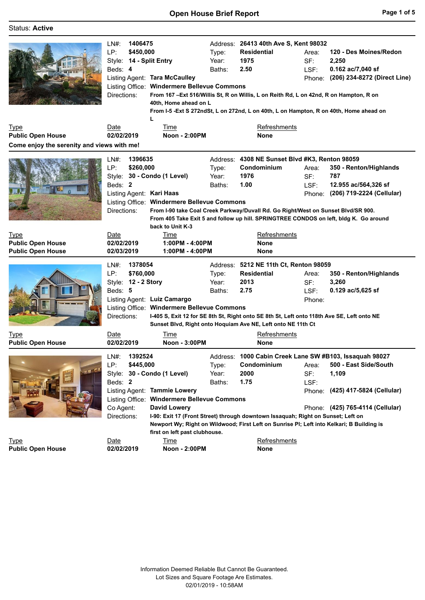| <b>Status: Active</b>                      |                                                                                                                                |                                                                                                                                     |                                      |                                                                                                                                                                                                                                                             |                                |                                                                                                                                                          |
|--------------------------------------------|--------------------------------------------------------------------------------------------------------------------------------|-------------------------------------------------------------------------------------------------------------------------------------|--------------------------------------|-------------------------------------------------------------------------------------------------------------------------------------------------------------------------------------------------------------------------------------------------------------|--------------------------------|----------------------------------------------------------------------------------------------------------------------------------------------------------|
|                                            | 1406475<br>LN#:<br>LP:<br>\$450,000<br>Style: 14 - Split Entry<br>Beds: 4<br>Listing Agent: Tara McCaulley<br>Directions:<br>L | Listing Office: Windermere Bellevue Commons<br>40th, Home ahead on L                                                                | Address:<br>Type:<br>Year:<br>Baths: | 26413 40th Ave S, Kent 98032<br><b>Residential</b><br>1975<br>2.50<br>From 167 - Ext 516/Willis St, R on Willis, L on Reith Rd, L on 42nd, R on Hampton, R on<br>From I-5 -Ext S 272ndSt, L on 272nd, L on 40th, L on Hampton, R on 40th, Home ahead on     | Area:<br>SF:<br>LSF:           | 120 - Des Moines/Redon<br>2,250<br>0.162 ac/7,040 sf<br>Phone: (206) 234-8272 (Direct Line)                                                              |
| <b>Type</b>                                | Date                                                                                                                           | Time                                                                                                                                |                                      | Refreshments                                                                                                                                                                                                                                                |                                |                                                                                                                                                          |
| <b>Public Open House</b>                   | 02/02/2019                                                                                                                     | Noon - 2:00PM                                                                                                                       |                                      | None                                                                                                                                                                                                                                                        |                                |                                                                                                                                                          |
| Come enjoy the serenity and views with me! |                                                                                                                                |                                                                                                                                     |                                      |                                                                                                                                                                                                                                                             |                                |                                                                                                                                                          |
|                                            | 1396635<br>LN#:<br>LP:<br>\$260,000<br>Style: 30 - Condo (1 Level)<br>Beds: 2<br>Listing Agent: Kari Haas<br>Directions:       | Listing Office: Windermere Bellevue Commons<br>back to Unit K-3                                                                     | Type:<br>Year:<br>Baths:             | Address: 4308 NE Sunset Blvd #K3, Renton 98059<br>Condominium<br>1976<br>1.00<br>From I-90 take Coal Creek Parkway/Duvall Rd. Go Right/West on Sunset Blvd/SR 900.<br>From 405 Take Exit 5 and follow up hill. SPRINGTREE CONDOS on left, bldg K. Go around | Area:<br>SF:<br>LSF:           | 350 - Renton/Highlands<br>787<br>12.955 ac/564,326 sf<br>Phone: (206) 719-2224 (Cellular)                                                                |
| <b>Type</b>                                | Date                                                                                                                           | Time                                                                                                                                |                                      | <b>Refreshments</b>                                                                                                                                                                                                                                         |                                |                                                                                                                                                          |
| <b>Public Open House</b>                   | 02/02/2019<br>1:00PM - 4:00PM                                                                                                  |                                                                                                                                     | None                                 |                                                                                                                                                                                                                                                             |                                |                                                                                                                                                          |
| <b>Public Open House</b>                   | 02/03/2019                                                                                                                     | 1:00PM - 4:00PM                                                                                                                     |                                      | None                                                                                                                                                                                                                                                        |                                |                                                                                                                                                          |
|                                            | 1378054<br>$LN#$ :<br>\$760,000<br>LP:<br>Style: 12 - 2 Story<br>Beds: 5<br>Listing Agent: Luiz Camargo<br>Directions:         | Listing Office: Windermere Bellevue Commons                                                                                         | Address:<br>Type:<br>Year:<br>Baths: | 5212 NE 11th Ct, Renton 98059<br><b>Residential</b><br>2013<br>2.75<br>I-405 S, Exit 12 for SE 8th St, Right onto SE 8th St, Left onto 118th Ave SE, Left onto NE<br>Sunset Blvd, Right onto Hoquiam Ave NE, Left onto NE 11th Ct                           | Area:<br>SF:<br>LSF:<br>Phone: | 350 - Renton/Highlands<br>3,260<br>$0.129$ ac/5,625 sf                                                                                                   |
| Type                                       | Date                                                                                                                           | Time                                                                                                                                |                                      | Refreshments                                                                                                                                                                                                                                                |                                |                                                                                                                                                          |
| <b>Public Open House</b>                   | 02/02/2019                                                                                                                     | Noon - 3:00PM                                                                                                                       |                                      | None                                                                                                                                                                                                                                                        |                                |                                                                                                                                                          |
| 杨俚                                         | 1392524<br>$LN#$ :<br>\$445,000<br>LP:<br>Style: 30 - Condo (1 Level)<br>Beds: 2<br>Co Agent:<br>Directions:                   | Listing Agent: Tammie Lowery<br>Listing Office: Windermere Bellevue Commons<br><b>David Lowery</b><br>first on left past clubhouse. | Address:<br>Type:<br>Year:<br>Baths: | Condominium<br>2000<br>1.75<br>I-90: Exit 17 (Front Street) through downtown Issaquah; Right on Sunset; Left on<br>Newport Wy; Right on Wildwood; First Left on Sunrise PI; Left into Kelkari; B Building is                                                | Area:<br>SF:<br>LSF:           | 1000 Cabin Creek Lane SW #B103, Issaquah 98027<br>500 - East Side/South<br>1,109<br>Phone: (425) 417-5824 (Cellular)<br>Phone: (425) 765-4114 (Cellular) |
| <b>Type</b>                                | Date                                                                                                                           | Time                                                                                                                                |                                      | Refreshments                                                                                                                                                                                                                                                |                                |                                                                                                                                                          |
| <b>Public Open House</b>                   | 02/02/2019                                                                                                                     | Noon - 2:00PM                                                                                                                       |                                      | None                                                                                                                                                                                                                                                        |                                |                                                                                                                                                          |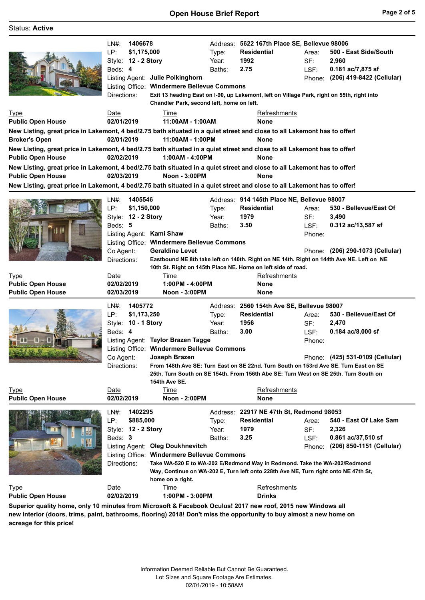| <b>Status: Active</b>                                                                                                                                                                                                                                                                                                                                                                                                                                                                                       |                                                                                                                                                        |                                                                                                                                                                                                                  |                          |                                                                                                                                                                                                                                                                     |                                |                                                                                           |
|-------------------------------------------------------------------------------------------------------------------------------------------------------------------------------------------------------------------------------------------------------------------------------------------------------------------------------------------------------------------------------------------------------------------------------------------------------------------------------------------------------------|--------------------------------------------------------------------------------------------------------------------------------------------------------|------------------------------------------------------------------------------------------------------------------------------------------------------------------------------------------------------------------|--------------------------|---------------------------------------------------------------------------------------------------------------------------------------------------------------------------------------------------------------------------------------------------------------------|--------------------------------|-------------------------------------------------------------------------------------------|
| <b>Type</b><br><b>Public Open House</b><br>New Listing, great price in Lakemont, 4 bed/2.75 bath situated in a quiet street and close to all Lakemont has to offer!<br><b>Broker's Open</b><br>New Listing, great price in Lakemont, 4 bed/2.75 bath situated in a quiet street and close to all Lakemont has to offer!<br><b>Public Open House</b><br>New Listing, great price in Lakemont, 4 bed/2.75 bath situated in a quiet street and close to all Lakemont has to offer!<br><b>Public Open House</b> | 1406678<br>LN#:<br>LP:<br>\$1,175,000<br>Style: 12 - 2 Story<br>Beds: 4<br>Directions:<br>Date<br>02/01/2019<br>02/01/2019<br>02/02/2019<br>02/03/2019 | Listing Agent: Julie Polkinghorn<br>Listing Office: Windermere Bellevue Commons<br>Chandler Park, second left, home on left.<br>Time<br>11:00AM - 1:00AM<br>11:00AM - 1:00PM<br>1:00AM - 4:00PM<br>Noon - 3:00PM | Type:<br>Year:<br>Baths: | Address: 5622 167th Place SE, Bellevue 98006<br><b>Residential</b><br>1992<br>2.75<br>Exit 13 heading East on I-90, up Lakemont, left on Village Park, right on 55th, right into<br><b>Refreshments</b><br><b>None</b><br><b>None</b><br><b>None</b><br><b>None</b> | Area:<br>SF:<br>LSF:<br>Phone: | 500 - East Side/South<br>2,960<br>0.181 ac/7,875 sf<br>(206) 419-8422 (Cellular)          |
| New Listing, great price in Lakemont, 4 bed/2.75 bath situated in a quiet street and close to all Lakemont has to offer!                                                                                                                                                                                                                                                                                                                                                                                    |                                                                                                                                                        |                                                                                                                                                                                                                  |                          |                                                                                                                                                                                                                                                                     |                                |                                                                                           |
|                                                                                                                                                                                                                                                                                                                                                                                                                                                                                                             | 1405546<br>LN#:<br>LP:<br>\$1,150,000<br>Style: 12 - 2 Story<br>Beds: 5<br>Listing Agent: Kami Shaw<br>Co Agent:<br>Directions:                        | Listing Office: Windermere Bellevue Commons<br><b>Geraldine Levet</b>                                                                                                                                            | Type:<br>Year:<br>Baths: | Address: 914 145th Place NE, Bellevue 98007<br><b>Residential</b><br>1979<br>3.50<br>Eastbound NE 8th take left on 140th. Right on NE 14th. Right on 144th Ave NE. Left on NE<br>10th St. Right on 145th Place NE. Home on left side of road.                       | Area:<br>SF:<br>LSF:<br>Phone: | 530 - Bellevue/East Of<br>3,490<br>0.312 ac/13,587 sf<br>Phone: (206) 290-1073 (Cellular) |
| <b>Type</b><br><b>Public Open House</b><br><b>Public Open House</b>                                                                                                                                                                                                                                                                                                                                                                                                                                         | Date<br>02/02/2019<br>02/03/2019                                                                                                                       | Time<br>1:00PM - 4:00PM<br>Noon - 3:00PM                                                                                                                                                                         |                          | Refreshments<br><b>None</b><br>None                                                                                                                                                                                                                                 |                                |                                                                                           |
| -M                                                                                                                                                                                                                                                                                                                                                                                                                                                                                                          | 1405772<br>$LN#$ :<br>LP:<br>\$1,173,250<br>Style: 10 - 1 Story<br>Beds: 4<br>Co Agent:<br>Directions:                                                 | Listing Agent: Taylor Brazen Tagge<br>Listing Office: Windermere Bellevue Commons<br>Joseph Brazen<br>154th Ave SE.                                                                                              | Type:<br>Year:<br>Baths: | Address: 2560 154th Ave SE, Bellevue 98007<br><b>Residential</b><br>1956<br>3.00<br>From 148th Ave SE: Turn East on SE 22nd. Turn South on 153rd Ave SE. Turn East on SE<br>25th. Turn South on SE 154th. From 156th Abe SE: Turn West on SE 25th. Turn South on    | Area:<br>SF:<br>LSF:<br>Phone: | 530 - Bellevue/East Of<br>2,470<br>0.184 ac/8,000 sf<br>Phone: (425) 531-0109 (Cellular)  |
| <b>Type</b><br><b>Public Open House</b>                                                                                                                                                                                                                                                                                                                                                                                                                                                                     | Date<br>02/02/2019                                                                                                                                     | Time<br>Noon - 2:00PM                                                                                                                                                                                            |                          | Refreshments<br>None                                                                                                                                                                                                                                                |                                |                                                                                           |
|                                                                                                                                                                                                                                                                                                                                                                                                                                                                                                             | 1402295<br>LN#:<br>LP:<br>\$885,000<br>Style: 12 - 2 Story<br>Beds: 3<br>Directions:                                                                   | Listing Agent: Oleg Doukhnevitch<br>Listing Office: Windermere Bellevue Commons<br>home on a right.                                                                                                              | Type:<br>Year:<br>Baths: | Address: 22917 NE 47th St, Redmond 98053<br><b>Residential</b><br>1979<br>3.25<br>Take WA-520 E to WA-202 E/Redmond Way in Redmond. Take the WA-202/Redmond<br>Way, Continue on WA-202 E, Turn left onto 228th Ave NE, Turn right onto NE 47th St,                  | Area:<br>SF:<br>LSF:<br>Phone: | 540 - East Of Lake Sam<br>2,326<br>0.861 ac/37,510 sf<br>(206) 850-1151 (Cellular)        |
| <b>Type</b><br><b>Public Open House</b><br>Superior quality home, only 10 minutes from Microsoft & Facebook Oculus! 2017 new roof, 2015 new Windows all                                                                                                                                                                                                                                                                                                                                                     | Date<br>02/02/2019                                                                                                                                     | Time<br>1:00PM - 3:00PM                                                                                                                                                                                          |                          | Refreshments<br><b>Drinks</b>                                                                                                                                                                                                                                       |                                |                                                                                           |

**new interior (doors, trims, paint, bathrooms, flooring) 2018! Don't miss the opportunity to buy almost a new home on acreage for this price!**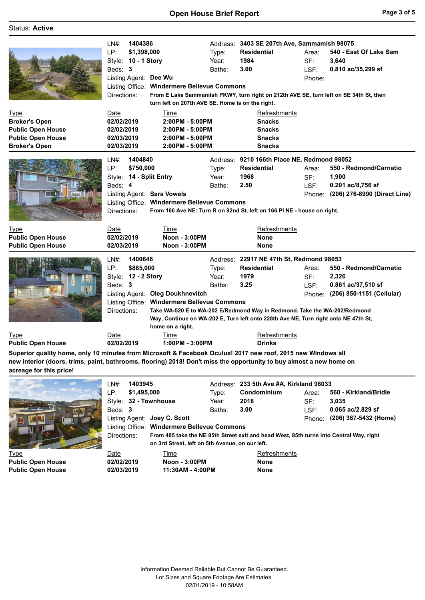## **Open House Brief Report Page 3 of 5**

## Status: **Active**

|                                                                                                                     | 1404386<br>$LN#$ :<br>LP:<br>\$1,398,000<br>Style: 10 - 1 Story<br>Beds: 3<br>Listing Agent: Dee Wu<br>Listing Office: Windermere Bellevue Commons<br>Directions:<br>turn left on 207th AVE SE. Home is on the right. | Type:<br>Year:<br>Baths: | Address: 3403 SE 207th Ave, Sammamish 98075<br><b>Residential</b><br>1984<br>3.00<br>From E Lake Sammamish PKWY, turn right on 212th AVE SE, turn left on SE 34th St, then                                                                         | Area:<br>SF:<br>LSF:<br>Phone: | 540 - East Of Lake Sam<br>3,640<br>0.810 ac/35,299 sf                                |
|---------------------------------------------------------------------------------------------------------------------|-----------------------------------------------------------------------------------------------------------------------------------------------------------------------------------------------------------------------|--------------------------|----------------------------------------------------------------------------------------------------------------------------------------------------------------------------------------------------------------------------------------------------|--------------------------------|--------------------------------------------------------------------------------------|
| <b>Type</b><br><b>Broker's Open</b><br><b>Public Open House</b><br><b>Public Open House</b><br><b>Broker's Open</b> | Date<br>Time<br>02/02/2019<br>2:00PM - 5:00PM<br>02/02/2019<br>2:00PM - 5:00PM<br>02/03/2019<br>2:00PM - 5:00PM<br>02/03/2019<br>2:00PM - 5:00PM                                                                      |                          | Refreshments<br><b>Snacks</b><br><b>Snacks</b><br><b>Snacks</b><br><b>Snacks</b>                                                                                                                                                                   |                                |                                                                                      |
|                                                                                                                     | 1404840<br>LN#:<br>LP:<br>\$750,000<br>Style: 14 - Split Entry<br>Beds: 4<br>Listing Agent: Sara Vowels<br>Listing Office: Windermere Bellevue Commons<br>Directions:                                                 | Type:<br>Year:<br>Baths: | Address: 9210 166th Place NE, Redmond 98052<br><b>Residential</b><br>1968<br>2.50<br>From 166 Ave NE: Turn R on 92nd St. left on 166 PI NE - house on right.                                                                                       | Area:<br>SF:<br>LSF:<br>Phone: | 550 - Redmond/Carnatio<br>1,900<br>0.201 ac/8,756 sf<br>(206) 276-8990 (Direct Line) |
| <b>Type</b><br><b>Public Open House</b><br><b>Public Open House</b>                                                 | Date<br>Time<br><b>Noon - 3:00PM</b><br>02/02/2019<br><b>Noon - 3:00PM</b><br>02/03/2019                                                                                                                              |                          | Refreshments<br><b>None</b><br><b>None</b>                                                                                                                                                                                                         |                                |                                                                                      |
|                                                                                                                     | 1400646<br>$LN#$ :<br>\$885,000<br>LP:<br>Style: 12 - 2 Story<br>Beds: 3<br>Listing Agent: Oleg Doukhnevitch<br><b>Windermere Bellevue Commons</b><br>Listing Office:<br>Directions:<br>home on a right.              | Type:<br>Year:<br>Baths: | Address: 22917 NE 47th St, Redmond 98053<br><b>Residential</b><br>1979<br>3.25<br>Take WA-520 E to WA-202 E/Redmond Way in Redmond. Take the WA-202/Redmond<br>Way, Continue on WA-202 E, Turn left onto 228th Ave NE, Turn right onto NE 47th St, | Area:<br>SF:<br>LSF:<br>Phone: | 550 - Redmond/Carnatio<br>2,326<br>0.861 ac/37,510 sf<br>(206) 850-1151 (Cellular)   |
| Type<br><b>Public Open House</b>                                                                                    | Date<br><b>Time</b><br>02/02/2019<br>1:00PM - 3:00PM                                                                                                                                                                  |                          | Refreshments<br><b>Drinks</b>                                                                                                                                                                                                                      |                                |                                                                                      |

**Superior quality home, only 10 minutes from Microsoft & Facebook Oculus! 2017 new roof, 2015 new Windows all new interior (doors, trims, paint, bathrooms, flooring) 2018! Don't miss the opportunity to buy almost a new home on acreage for this price!**

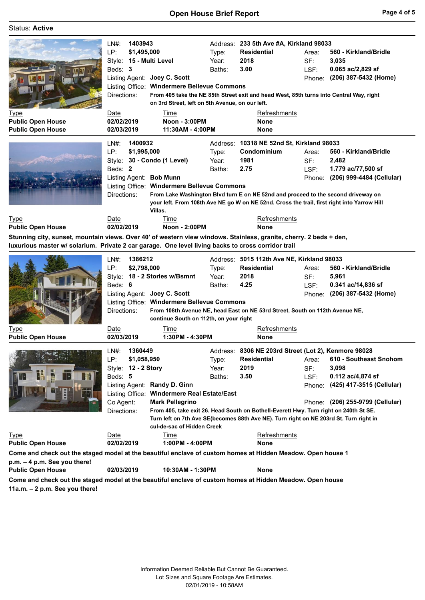## Status: **Active**

|                                                                                                                    | 1403943<br>LN#:         | Address: 233 5th Ave #A, Kirkland 98033         |          |                                                                                             |        |                                  |
|--------------------------------------------------------------------------------------------------------------------|-------------------------|-------------------------------------------------|----------|---------------------------------------------------------------------------------------------|--------|----------------------------------|
|                                                                                                                    | LP:<br>\$1,495,000      |                                                 | Type:    | <b>Residential</b>                                                                          | Area:  | 560 - Kirkland/Bridle            |
|                                                                                                                    | Style: 15 - Multi Level |                                                 | Year:    | 2018                                                                                        | SF:    | 3,035                            |
|                                                                                                                    | Beds: 3                 |                                                 | Baths:   | 3.00                                                                                        | LSF:   | 0.065 ac/2,829 sf                |
|                                                                                                                    |                         | Listing Agent: Joey C. Scott                    |          |                                                                                             |        | Phone: (206) 387-5432 (Home)     |
|                                                                                                                    |                         | Listing Office: Windermere Bellevue Commons     |          |                                                                                             |        |                                  |
|                                                                                                                    |                         |                                                 |          | From 405 take the NE 85th Street exit and head West, 85th turns into Central Way, right     |        |                                  |
|                                                                                                                    | Directions:             |                                                 |          |                                                                                             |        |                                  |
|                                                                                                                    |                         | on 3rd Street, left on 5th Avenue, on our left. |          |                                                                                             |        |                                  |
| <b>Type</b>                                                                                                        | Date                    | Time                                            |          | <b>Refreshments</b>                                                                         |        |                                  |
| <b>Public Open House</b>                                                                                           | 02/02/2019              | Noon - 3:00PM                                   |          | <b>None</b>                                                                                 |        |                                  |
| <b>Public Open House</b>                                                                                           | 02/03/2019              | 11:30AM - 4:00PM                                |          | None                                                                                        |        |                                  |
|                                                                                                                    | 1400932<br>$LN#$ :      |                                                 | Address: | 10318 NE 52nd St, Kirkland 98033                                                            |        |                                  |
|                                                                                                                    | LP:<br>\$1,995,000      |                                                 |          | Condominium                                                                                 | Area:  | 560 - Kirkland/Bridle            |
|                                                                                                                    |                         |                                                 | Type:    | 1981                                                                                        |        |                                  |
|                                                                                                                    | Style:                  | 30 - Condo (1 Level)                            | Year:    |                                                                                             | SF:    | 2,482                            |
|                                                                                                                    | Beds: 2                 |                                                 | Baths:   | 2.75                                                                                        | LSF:   | 1.779 ac/77,500 sf               |
|                                                                                                                    | Listing Agent: Bob Munn |                                                 |          |                                                                                             | Phone: | (206) 999-4484 (Cellular)        |
|                                                                                                                    |                         | Listing Office: Windermere Bellevue Commons     |          |                                                                                             |        |                                  |
|                                                                                                                    | Directions:             |                                                 |          | From Lake Washington Blvd turn E on NE 52nd and proceed to the second driveway on           |        |                                  |
|                                                                                                                    |                         |                                                 |          | your left. From 108th Ave NE go W on NE 52nd. Cross the trail, first right into Yarrow Hill |        |                                  |
|                                                                                                                    |                         | Villas.                                         |          |                                                                                             |        |                                  |
| <b>Type</b>                                                                                                        | Date                    | Time                                            |          | Refreshments                                                                                |        |                                  |
| <b>Public Open House</b>                                                                                           | 02/02/2019              | Noon - 2:00PM                                   |          | None                                                                                        |        |                                  |
| Stunning city, sunset, mountain views. Over 40' of western view windows. Stainless, granite, cherry. 2 beds + den, |                         |                                                 |          |                                                                                             |        |                                  |
| luxurious master w/ solarium. Private 2 car garage. One level living backs to cross corridor trail                 |                         |                                                 |          |                                                                                             |        |                                  |
|                                                                                                                    |                         |                                                 |          |                                                                                             |        |                                  |
|                                                                                                                    |                         |                                                 |          |                                                                                             |        |                                  |
|                                                                                                                    | 1386212<br>LN#:         |                                                 |          | Address: 5015 112th Ave NE, Kirkland 98033                                                  |        |                                  |
|                                                                                                                    | LP:<br>\$2,798,000      |                                                 | Type:    | Residential                                                                                 | Area:  | 560 - Kirkland/Bridle            |
|                                                                                                                    |                         | Style: 18 - 2 Stories w/Bsmnt                   | Year:    | 2018                                                                                        | SF:    | 5,961                            |
|                                                                                                                    | Beds: 6                 |                                                 | Baths:   | 4.25                                                                                        | LSF:   | 0.341 ac/14,836 sf               |
|                                                                                                                    |                         | Listing Agent: Joey C. Scott                    |          |                                                                                             |        | Phone: (206) 387-5432 (Home)     |
|                                                                                                                    |                         | Listing Office: Windermere Bellevue Commons     |          |                                                                                             |        |                                  |
|                                                                                                                    | Directions:             |                                                 |          | From 108th Avenue NE, head East on NE 53rd Street, South on 112th Avenue NE,                |        |                                  |
|                                                                                                                    |                         | continue South on 112th, on your right          |          |                                                                                             |        |                                  |
| <u>Type</u>                                                                                                        | Date                    | Time                                            |          | <b>Refreshments</b>                                                                         |        |                                  |
| <b>Public Open House</b>                                                                                           | 02/03/2019              | 1:30PM - 4:30PM                                 |          | None                                                                                        |        |                                  |
|                                                                                                                    |                         |                                                 |          |                                                                                             |        |                                  |
|                                                                                                                    | 1360449<br>$LN#$ :      |                                                 |          | Address: 8306 NE 203rd Street (Lot 2), Kenmore 98028                                        |        |                                  |
|                                                                                                                    | LP:<br>\$1,058,950      |                                                 | Type:    | <b>Residential</b>                                                                          | Area:  | 610 - Southeast Snohom           |
|                                                                                                                    | Style: 12 - 2 Story     |                                                 | Year:    | 2019                                                                                        | SF:    | 3,098                            |
| H.                                                                                                                 | Beds: 5                 |                                                 | Baths:   | 3.50                                                                                        | LSF:   | 0.112 ac/4,874 sf                |
|                                                                                                                    |                         | Listing Agent: Randy D. Ginn                    |          |                                                                                             |        | Phone: (425) 417-3515 (Cellular) |
|                                                                                                                    | Listing Office:         | <b>Windermere Real Estate/East</b>              |          |                                                                                             |        |                                  |
|                                                                                                                    | Co Agent:               | <b>Mark Pellegrino</b>                          |          |                                                                                             |        | Phone: (206) 255-9799 (Cellular) |
|                                                                                                                    | Directions:             |                                                 |          | From 405, take exit 26. Head South on Bothell-Everett Hwy. Turn right on 240th St SE.       |        |                                  |
|                                                                                                                    |                         |                                                 |          | Turn left on 7th Ave SE(becomes 88th Ave NE). Turn right on NE 203rd St. Turn right in      |        |                                  |
|                                                                                                                    |                         | cul-de-sac of Hidden Creek                      |          |                                                                                             |        |                                  |
| <b>Type</b>                                                                                                        | Date                    | Time                                            |          | Refreshments                                                                                |        |                                  |
| <b>Public Open House</b>                                                                                           | 02/02/2019              | 1:00PM - 4:00PM                                 |          | None                                                                                        |        |                                  |
|                                                                                                                    |                         |                                                 |          |                                                                                             |        |                                  |
| Come and check out the staged model at the beautiful enclave of custom homes at Hidden Meadow. Open house 1        |                         |                                                 |          |                                                                                             |        |                                  |
| p.m. - 4 p.m. See you there!<br><b>Public Open House</b>                                                           | 02/03/2019              | 10:30AM - 1:30PM                                |          | None                                                                                        |        |                                  |

**Come and check out the staged model at the beautiful enclave of custom homes at Hidden Meadow. Open house 11a.m. – 2 p.m. See you there!**